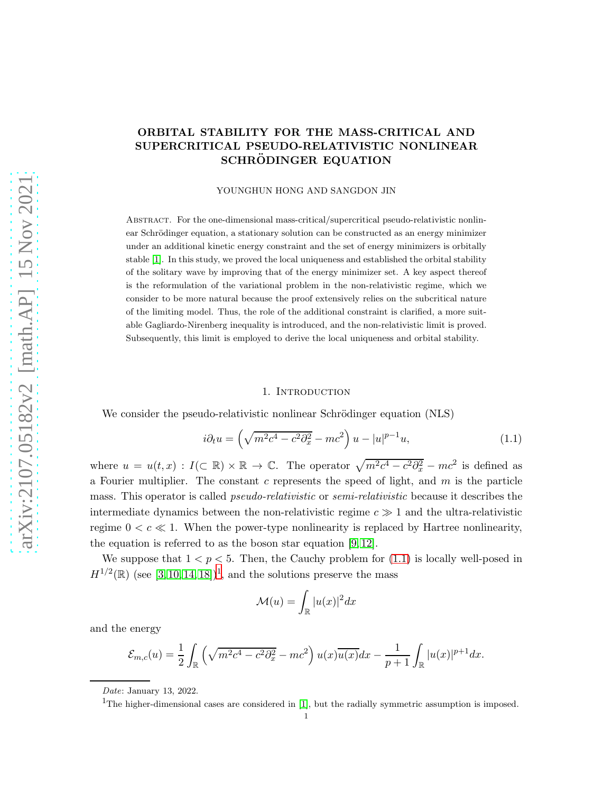# ORBITAL STABILITY FOR THE MASS-CRITICAL AND SUPERCRITICAL PSEUDO-RELATIVISTIC NONLINEAR SCHRÖDINGER EQUATION

#### YOUNGHUN HONG AND SANGDON JIN

Abstract. For the one-dimensional mass-critical/supercritical pseudo-relativistic nonlinear Schrödinger equation, a stationary solution can be constructed as an energy minimizer under an additional kinetic energy constraint and the set of energy minimizers is orbitally stable [\[1\]](#page-15-0). In this study, we proved the local uniqueness and established the orbital stability of the solitary wave by improving that of the energy minimizer set. A key aspect thereof is the reformulation of the variational problem in the non-relativistic regime, which we consider to be more natural because the proof extensively relies on the subcritical nature of the limiting model. Thus, the role of the additional constraint is clarified, a more suitable Gagliardo-Nirenberg inequality is introduced, and the non-relativistic limit is proved. Subsequently, this limit is employed to derive the local uniqueness and orbital stability.

## 1. INTRODUCTION

We consider the pseudo-relativistic nonlinear Schrödinger equation (NLS)

<span id="page-0-0"></span>
$$
i\partial_t u = \left(\sqrt{m^2c^4 - c^2\partial_x^2} - mc^2\right)u - |u|^{p-1}u,\tag{1.1}
$$

where  $u = u(t, x) : I(\subset \mathbb{R}) \times \mathbb{R} \to \mathbb{C}$ . The operator  $\sqrt{m^2c^4 - c^2\partial_x^2} - mc^2$  is defined as a Fourier multiplier. The constant  $c$  represents the speed of light, and  $m$  is the particle mass. This operator is called *pseudo-relativistic* or *semi-relativistic* because it describes the intermediate dynamics between the non-relativistic regime  $c \gg 1$  and the ultra-relativistic regime  $0 < c \ll 1$ . When the power-type nonlinearity is replaced by Hartree nonlinearity, the equation is referred to as the boson star equation [\[9,](#page-15-1) [12\]](#page-15-2).

We suppose that  $1 < p < 5$ . Then, the Cauchy problem for  $(1.1)$  is locally well-posed in  $H^{1/2}(\mathbb{R})$  $H^{1/2}(\mathbb{R})$  $H^{1/2}(\mathbb{R})$  (see [\[3,](#page-15-3) [10,](#page-15-4) [14,](#page-16-0) [18\]](#page-16-1))<sup>1</sup>, and the solutions preserve the mass

$$
\mathcal{M}(u) = \int_{\mathbb{R}} |u(x)|^2 dx
$$

and the energy

$$
\mathcal{E}_{m,c}(u) = \frac{1}{2} \int_{\mathbb{R}} \left( \sqrt{m^2 c^4 - c^2 \partial_x^2} - mc^2 \right) u(x) \overline{u(x)} dx - \frac{1}{p+1} \int_{\mathbb{R}} |u(x)|^{p+1} dx.
$$

Date: January 13, 2022.

<span id="page-0-1"></span><sup>&</sup>lt;sup>1</sup>The higher-dimensional cases are considered in [\[1\]](#page-15-0), but the radially symmetric assumption is imposed.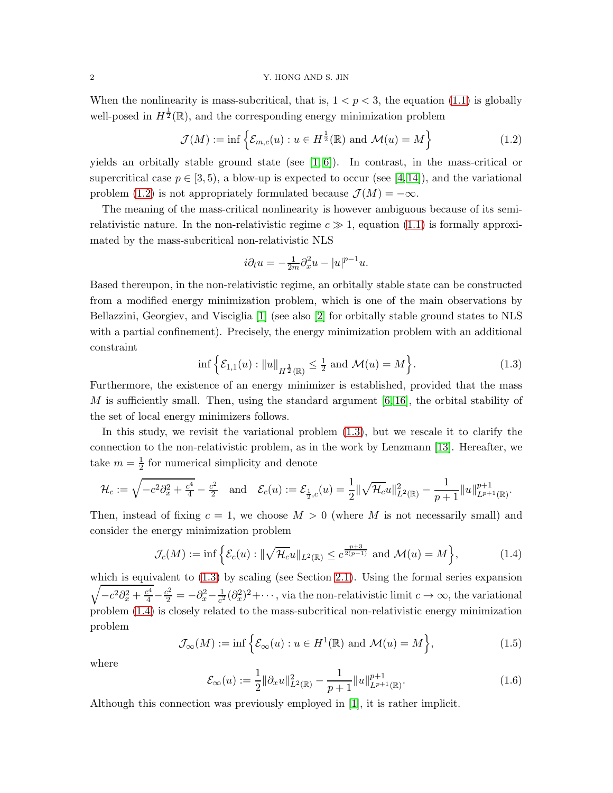#### 2 Y. HONG AND S. JIN

When the nonlinearity is mass-subcritical, that is,  $1 < p < 3$ , the equation [\(1.1\)](#page-0-0) is globally well-posed in  $H^{\frac{1}{2}}(\mathbb{R})$ , and the corresponding energy minimization problem

<span id="page-1-0"></span>
$$
\mathcal{J}(M) := \inf \left\{ \mathcal{E}_{m,c}(u) : u \in H^{\frac{1}{2}}(\mathbb{R}) \text{ and } \mathcal{M}(u) = M \right\}
$$
 (1.2)

yields an orbitally stable ground state (see  $[1, 6]$  $[1, 6]$ ). In contrast, in the mass-critical or supercritical case  $p \in [3, 5)$ , a blow-up is expected to occur (see [\[4,](#page-15-6) [14\]](#page-16-0)), and the variational problem [\(1.2\)](#page-1-0) is not appropriately formulated because  $\mathcal{J}(M) = -\infty$ .

The meaning of the mass-critical nonlinearity is however ambiguous because of its semirelativistic nature. In the non-relativistic regime  $c \gg 1$ , equation [\(1.1\)](#page-0-0) is formally approximated by the mass-subcritical non-relativistic NLS

$$
i\partial_t u = -\frac{1}{2m}\partial_x^2 u - |u|^{p-1}u.
$$

Based thereupon, in the non-relativistic regime, an orbitally stable state can be constructed from a modified energy minimization problem, which is one of the main observations by Bellazzini, Georgiev, and Visciglia [\[1\]](#page-15-0) (see also [\[2\]](#page-15-7) for orbitally stable ground states to NLS with a partial confinement). Precisely, the energy minimization problem with an additional constraint

<span id="page-1-1"></span>
$$
\inf \left\{ \mathcal{E}_{1,1}(u) : \|u\|_{H^{\frac{1}{2}}(\mathbb{R})} \le \frac{1}{2} \text{ and } \mathcal{M}(u) = M \right\}. \tag{1.3}
$$

Furthermore, the existence of an energy minimizer is established, provided that the mass M is sufficiently small. Then, using the standard argument  $[6, 16]$  $[6, 16]$ , the orbital stability of the set of local energy minimizers follows.

In this study, we revisit the variational problem [\(1.3\)](#page-1-1), but we rescale it to clarify the connection to the non-relativistic problem, as in the work by Lenzmann [\[13\]](#page-15-8). Hereafter, we take  $m=\frac{1}{2}$  $\frac{1}{2}$  for numerical simplicity and denote

$$
\mathcal{H}_c := \sqrt{-c^2 \partial_x^2 + \frac{c^4}{4}} - \frac{c^2}{2} \quad \text{and} \quad \mathcal{E}_c(u) := \mathcal{E}_{\frac{1}{2},c}(u) = \frac{1}{2} \|\sqrt{\mathcal{H}_c} u\|_{L^2(\mathbb{R})}^2 - \frac{1}{p+1} \|u\|_{L^{p+1}(\mathbb{R})}^{p+1}.
$$

Then, instead of fixing  $c = 1$ , we choose  $M > 0$  (where M is not necessarily small) and consider the energy minimization problem

<span id="page-1-2"></span>
$$
\mathcal{J}_c(M) := \inf \left\{ \mathcal{E}_c(u) : \|\sqrt{\mathcal{H}_c} u\|_{L^2(\mathbb{R})} \le c^{\frac{p+3}{2(p-1)}} \text{ and } \mathcal{M}(u) = M \right\},\tag{1.4}
$$

which is equivalent to  $(1.3)$  by scaling (see Section [2.1\)](#page-4-0). Using the formal series expansion  $\sqrt{-c^2\partial_x^2 + \frac{c^4}{4}} - \frac{c^2}{2} = -\partial_x^2 - \frac{1}{c^2}$  $\frac{1}{c^2}(\partial_x^2)^2+\cdots$ , via the non-relativistic limit  $c\to\infty$ , the variational problem [\(1.4\)](#page-1-2) is closely related to the mass-subcritical non-relativistic energy minimization problem

<span id="page-1-3"></span>
$$
\mathcal{J}_{\infty}(M) := \inf \left\{ \mathcal{E}_{\infty}(u) : u \in H^1(\mathbb{R}) \text{ and } \mathcal{M}(u) = M \right\},\tag{1.5}
$$

where

$$
\mathcal{E}_{\infty}(u) := \frac{1}{2} ||\partial_x u||_{L^2(\mathbb{R})}^2 - \frac{1}{p+1} ||u||_{L^{p+1}(\mathbb{R})}^{p+1}.
$$
\n(1.6)

Although this connection was previously employed in [\[1\]](#page-15-0), it is rather implicit.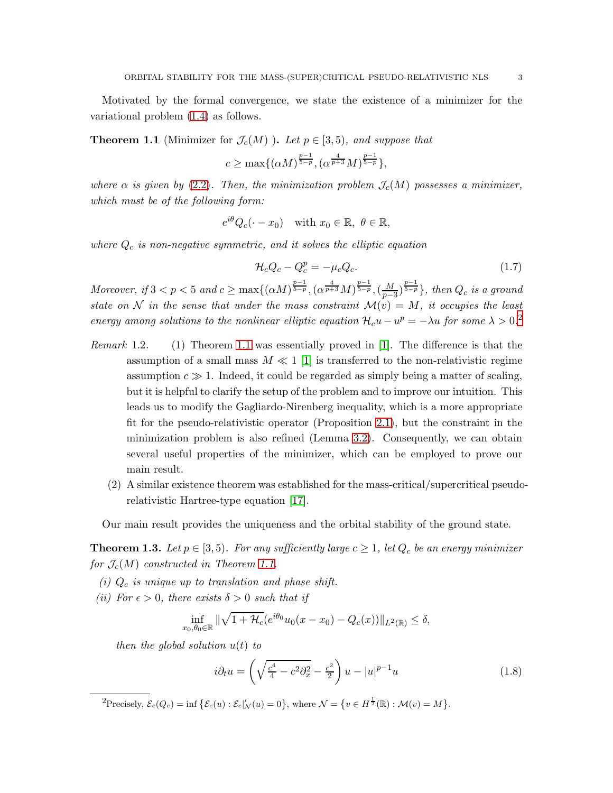Motivated by the formal convergence, we state the existence of a minimizer for the variational problem [\(1.4\)](#page-1-2) as follows.

<span id="page-2-1"></span>**Theorem 1.1** (Minimizer for  $\mathcal{J}_c(M)$  ). Let  $p \in [3,5)$ , and suppose that

$$
c \ge \max\{(\alpha M)^{\frac{p-1}{5-p}}, (\alpha^{\frac{4}{p+3}}M)^{\frac{p-1}{5-p}}\},
$$

where  $\alpha$  is given by [\(2.2\)](#page-5-0). Then, the minimization problem  $\mathcal{J}_c(M)$  possesses a minimizer, which must be of the following form:

$$
e^{i\theta}Q_c(\cdot - x_0)
$$
 with  $x_0 \in \mathbb{R}$ ,  $\theta \in \mathbb{R}$ ,

where  $Q_c$  is non-negative symmetric, and it solves the elliptic equation

<span id="page-2-3"></span>
$$
\mathcal{H}_c Q_c - Q_c^p = -\mu_c Q_c. \tag{1.7}
$$

Moreover, if  $3 < p < 5$  and  $c \ge \max\{(\alpha M)^{\frac{p-1}{5-p}}, (\alpha^{\frac{4}{p+3}}M)^{\frac{p-1}{5-p}}, (\frac{M}{p-5})^{\frac{p-1}{5-p}}\}$  $\frac{M}{p-3}$  $\frac{p-1}{5-p}$ , then  $Q_c$  is a ground state on N in the sense that under the mass constraint  $\mathcal{M}(v) = M$ , it occupies the least energy among solutions to the nonlinear elliptic equation  $\mathcal{H}_c u - u^p = -\lambda u$  for some  $\lambda > 0.2$  $\lambda > 0.2$ 

- Remark 1.2. (1) Theorem [1.1](#page-2-1) was essentially proved in [\[1\]](#page-15-0). The difference is that the assumption of a small mass  $M \ll 1$  [\[1\]](#page-15-0) is transferred to the non-relativistic regime assumption  $c \gg 1$ . Indeed, it could be regarded as simply being a matter of scaling, but it is helpful to clarify the setup of the problem and to improve our intuition. This leads us to modify the Gagliardo-Nirenberg inequality, which is a more appropriate fit for the pseudo-relativistic operator (Proposition [2.1\)](#page-4-1), but the constraint in the minimization problem is also refined (Lemma [3.2\)](#page-8-0). Consequently, we can obtain several useful properties of the minimizer, which can be employed to prove our main result.
	- (2) A similar existence theorem was established for the mass-critical/supercritical pseudorelativistic Hartree-type equation [\[17\]](#page-16-3).

Our main result provides the uniqueness and the orbital stability of the ground state.

<span id="page-2-2"></span>**Theorem 1.3.** Let  $p \in [3, 5)$ . For any sufficiently large  $c \geq 1$ , let  $Q_c$  be an energy minimizer for  $\mathcal{J}_c(M)$  constructed in Theorem [1.1.](#page-2-1)

- (i)  $Q_c$  is unique up to translation and phase shift.
- (ii) For  $\epsilon > 0$ , there exists  $\delta > 0$  such that if

$$
\inf_{x_0,\theta_0 \in \mathbb{R}} \|\sqrt{1+\mathcal{H}_c}(e^{i\theta_0}u_0(x-x_0)-Q_c(x))\|_{L^2(\mathbb{R})} \le \delta,
$$

then the global solution  $u(t)$  to

$$
i\partial_t u = \left(\sqrt{\frac{c^4}{4} - c^2 \partial_x^2} - \frac{c^2}{2}\right) u - |u|^{p-1} u \tag{1.8}
$$

<span id="page-2-0"></span> ${}^{2}$ Precisely,  $\mathcal{E}_{c}(Q_{c}) = \inf \{ \mathcal{E}_{c}(u) : \mathcal{E}_{c} |_{\mathcal{N}}'(u) = 0 \}, \text{ where } \mathcal{N} = \{ v \in H^{\frac{1}{2}}(\mathbb{R}) : \mathcal{M}(v) = M \}.$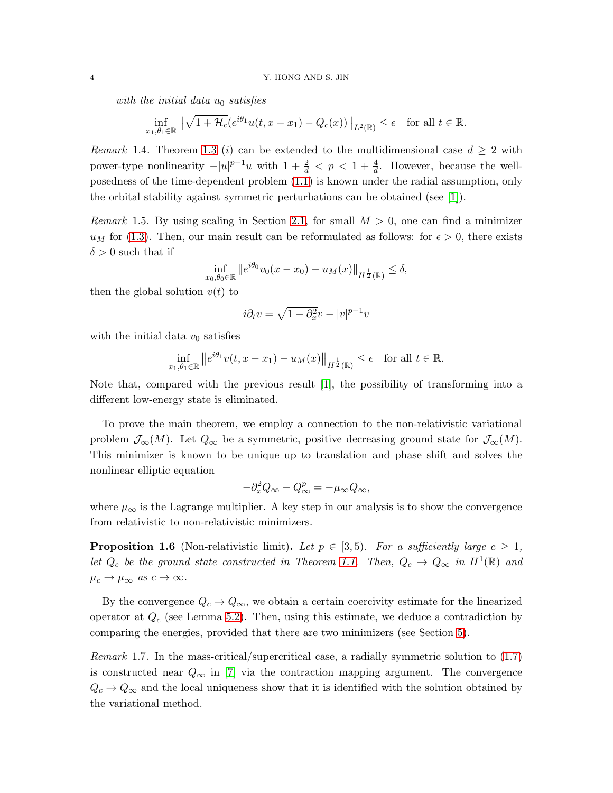with the initial data  $u_0$  satisfies

$$
\inf_{x_1,\theta_1\in\mathbb{R}} \left\| \sqrt{1+\mathcal{H}_c}(e^{i\theta_1}u(t,x-x_1)-Q_c(x)) \right\|_{L^2(\mathbb{R})} \leq \epsilon \quad \text{for all } t \in \mathbb{R}.
$$

Remark 1.4. Theorem [1.3](#page-2-2) (i) can be extended to the multidimensional case  $d \geq 2$  with power-type nonlinearity  $-|u|^{p-1}u$  with  $1+\frac{2}{d} < p < 1+\frac{4}{d}$ . However, because the wellposedness of the time-dependent problem [\(1.1\)](#page-0-0) is known under the radial assumption, only the orbital stability against symmetric perturbations can be obtained (see [\[1\]](#page-15-0)).

*Remark* 1.5. By using scaling in Section [2.1,](#page-4-0) for small  $M > 0$ , one can find a minimizer  $u_M$  for [\(1.3\)](#page-1-1). Then, our main result can be reformulated as follows: for  $\epsilon > 0$ , there exists  $\delta > 0$  such that if

$$
\inf_{x_0,\theta_0 \in \mathbb{R}} \|e^{i\theta_0} v_0(x - x_0) - u_M(x)\|_{H^{\frac{1}{2}}(\mathbb{R})} \le \delta,
$$

then the global solution  $v(t)$  to

$$
i\partial_t v = \sqrt{1 - \partial_x^2} v - |v|^{p-1} v
$$

with the initial data  $v_0$  satisfies

$$
\inf_{x_1,\theta_1\in\mathbb{R}}\left\|e^{i\theta_1}v(t,x-x_1)-u_M(x)\right\|_{H^{\frac{1}{2}}(\mathbb{R})}\leq\epsilon\quad\text{for all }t\in\mathbb{R}.
$$

Note that, compared with the previous result [\[1\]](#page-15-0), the possibility of transforming into a different low-energy state is eliminated.

To prove the main theorem, we employ a connection to the non-relativistic variational problem  $\mathcal{J}_{\infty}(M)$ . Let  $Q_{\infty}$  be a symmetric, positive decreasing ground state for  $\mathcal{J}_{\infty}(M)$ . This minimizer is known to be unique up to translation and phase shift and solves the nonlinear elliptic equation

$$
-\partial_x^2 Q_\infty - Q_\infty^p = -\mu_\infty Q_\infty,
$$

where  $\mu_{\infty}$  is the Lagrange multiplier. A key step in our analysis is to show the convergence from relativistic to non-relativistic minimizers.

<span id="page-3-0"></span>**Proposition 1.6** (Non-relativistic limit). Let  $p \in [3, 5)$ . For a sufficiently large  $c \geq 1$ , let  $Q_c$  be the ground state constructed in Theorem [1.1.](#page-2-1) Then,  $Q_c \rightarrow Q_{\infty}$  in  $H^1(\mathbb{R})$  and  $\mu_c \to \mu_\infty$  as  $c \to \infty$ .

By the convergence  $Q_c \to Q_\infty$ , we obtain a certain coercivity estimate for the linearized operator at  $Q_c$  (see Lemma [5.2\)](#page-11-0). Then, using this estimate, we deduce a contradiction by comparing the energies, provided that there are two minimizers (see Section [5\)](#page-10-0).

Remark 1.7. In the mass-critical/supercritical case, a radially symmetric solution to [\(1.7\)](#page-2-3) is constructed near  $Q_{\infty}$  in [\[7\]](#page-15-9) via the contraction mapping argument. The convergence  $Q_c \to Q_\infty$  and the local uniqueness show that it is identified with the solution obtained by the variational method.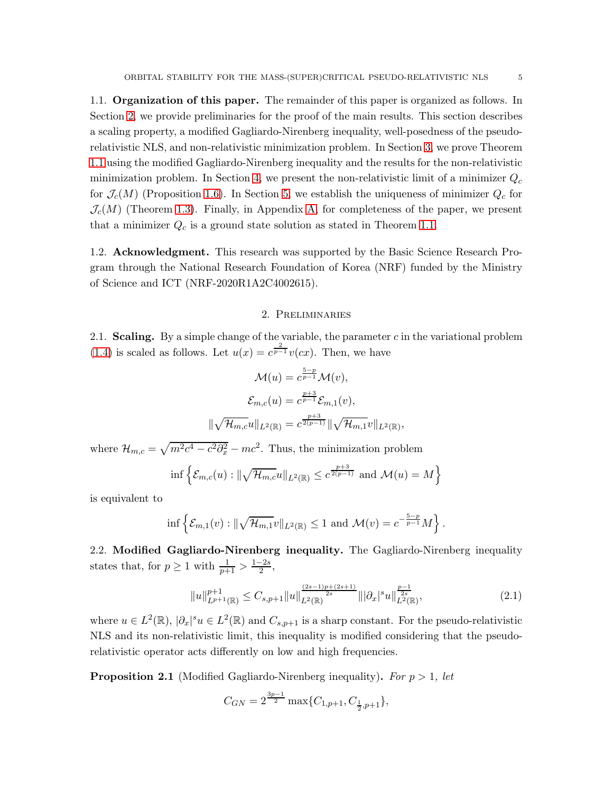1.1. Organization of this paper. The remainder of this paper is organized as follows. In

Section [2,](#page-4-2) we provide preliminaries for the proof of the main results. This section describes a scaling property, a modified Gagliardo-Nirenberg inequality, well-posedness of the pseudorelativistic NLS, and non-relativistic minimization problem. In Section [3,](#page-7-0) we prove Theorem [1.1](#page-2-1) using the modified Gagliardo-Nirenberg inequality and the results for the non-relativistic minimization problem. In Section [4,](#page-9-0) we present the non-relativistic limit of a minimizer  $Q_c$ for  $\mathcal{J}_c(M)$  (Proposition [1.6\)](#page-3-0). In Section [5,](#page-10-0) we establish the uniqueness of minimizer  $Q_c$  for  $\mathcal{J}_c(M)$  (Theorem [1.3\)](#page-2-2). Finally, in Appendix [A,](#page-13-0) for completeness of the paper, we present that a minimizer  $Q_c$  is a ground state solution as stated in Theorem [1.1.](#page-2-1)

1.2. Acknowledgment. This research was supported by the Basic Science Research Program through the National Research Foundation of Korea (NRF) funded by the Ministry of Science and ICT (NRF-2020R1A2C4002615).

## 2. Preliminaries

<span id="page-4-2"></span><span id="page-4-0"></span>2.1. Scaling. By a simple change of the variable, the parameter  $c$  in the variational problem [\(1.4\)](#page-1-2) is scaled as follows. Let  $u(x) = c^{\frac{2}{p-1}}v(cx)$ . Then, we have

$$
\mathcal{M}(u) = c^{\frac{5-p}{p-1}} \mathcal{M}(v),
$$

$$
\mathcal{E}_{m,c}(u) = c^{\frac{p+3}{p-1}} \mathcal{E}_{m,1}(v),
$$

$$
\|\sqrt{\mathcal{H}_{m,c}}u\|_{L^{2}(\mathbb{R})} = c^{\frac{p+3}{2(p-1)}}\|\sqrt{\mathcal{H}_{m,1}}v\|_{L^{2}(\mathbb{R})}
$$

where  $\mathcal{H}_{m,c} = \sqrt{m^2c^4 - c^2\partial_x^2} - mc^2$ . Thus, the minimization problem

$$
\inf \left\{ \mathcal{E}_{m,c}(u) : \|\sqrt{\mathcal{H}_{m,c}}u\|_{L^2(\mathbb{R})} \leq c^{\frac{p+3}{2(p-1)}} \text{ and } \mathcal{M}(u) = M \right\}
$$

is equivalent to

$$
\inf \left\{ \mathcal{E}_{m,1}(v) : \|\sqrt{\mathcal{H}_{m,1}}v\|_{L^2(\mathbb{R})} \leq 1 \text{ and } \mathcal{M}(v) = c^{-\frac{5-p}{p-1}}M \right\}.
$$

2.2. Modified Gagliardo-Nirenberg inequality. The Gagliardo-Nirenberg inequality states that, for  $p \ge 1$  with  $\frac{1}{p+1} > \frac{1-2s}{2}$ ,

<span id="page-4-3"></span>
$$
||u||_{L^{p+1}(\mathbb{R})}^{p+1} \leq C_{s,p+1}||u||_{L^{2}(\mathbb{R})}^{\frac{(2s-1)p+(2s+1)}{2s}}|||\partial_{x}|^{s}u||_{L^{2}(\mathbb{R})}^{\frac{p-1}{2s}}, \qquad (2.1)
$$

,

where  $u \in L^2(\mathbb{R})$ ,  $|\partial_x|^s u \in L^2(\mathbb{R})$  and  $C_{s,p+1}$  is a sharp constant. For the pseudo-relativistic NLS and its non-relativistic limit, this inequality is modified considering that the pseudorelativistic operator acts differently on low and high frequencies.

<span id="page-4-1"></span>**Proposition 2.1** (Modified Gagliardo-Nirenberg inequality). For  $p > 1$ , let

$$
C_{GN}=2^{\frac{3p-1}{2}}\max\{C_{1,p+1},C_{\frac{1}{2},p+1}\},
$$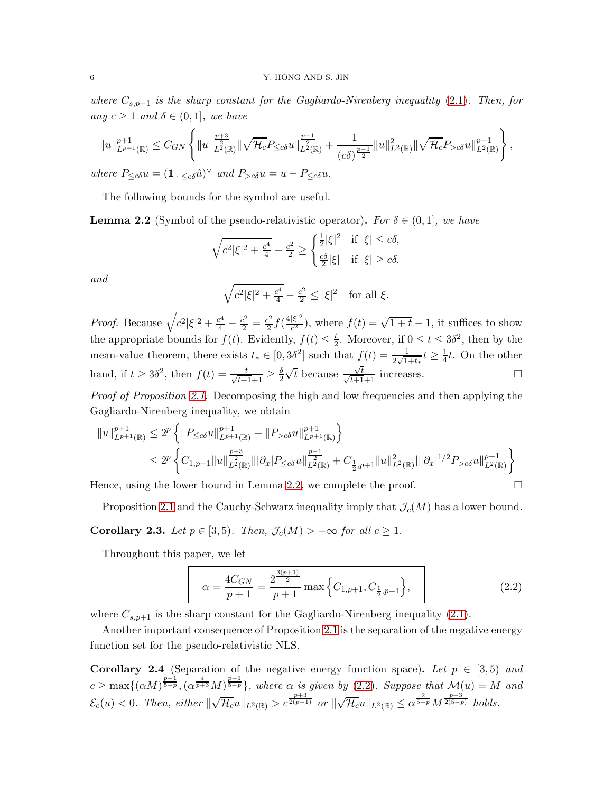where  $C_{s,p+1}$  is the sharp constant for the Gagliardo-Nirenberg inequality [\(2.1\)](#page-4-3). Then, for any  $c \geq 1$  and  $\delta \in (0,1]$ , we have

$$
||u||_{L^{p+1}(\mathbb{R})}^{p+1} \leq C_{GN} \left\{ ||u||_{L^{2}(\mathbb{R})}^{\frac{p+3}{2}} ||\sqrt{\mathcal{H}_c} P_{\leq c\delta} u||_{L^{2}(\mathbb{R})}^{\frac{p-1}{2}} + \frac{1}{(c\delta)^{\frac{p-1}{2}}} ||u||_{L^{2}(\mathbb{R})}^{2} ||\sqrt{\mathcal{H}_c} P_{>c\delta} u||_{L^{2}(\mathbb{R})}^{p-1} \right\},
$$
  
where  $P_{\leq c\delta} u = (\mathbf{1}_{|\cdot| \leq c\delta} \hat{u})^{\vee}$  and  $P_{>c\delta} u = u - P_{\leq c\delta} u$ .

The following bounds for the symbol are useful.

<span id="page-5-1"></span>**Lemma 2.2** (Symbol of the pseudo-relativistic operator). For  $\delta \in (0,1]$ , we have

$$
\sqrt{c^2|\xi|^2 + \frac{c^4}{4}} - \frac{c^2}{2} \ge \begin{cases} \frac{1}{2}|\xi|^2 & \text{if } |\xi| \le c\delta, \\ \frac{c\delta}{2}|\xi| & \text{if } |\xi| \ge c\delta. \end{cases}
$$

and

$$
\sqrt{c^2|\xi|^2 + \frac{c^4}{4}} - \frac{c^2}{2} \le |\xi|^2 \quad \text{for all } \xi.
$$

*Proof.* Because  $\sqrt{c^2|\xi|^2 + \frac{c^4}{4}} - \frac{c^2}{2} = \frac{c^2}{2}$  $\frac{c^2}{2} f(\frac{4|\xi|^2}{c^2})$  $\frac{|\xi|^2}{c^2}$ , where  $f(t) = \sqrt{1+t} - 1$ , it suffices to show the appropriate bounds for  $f(t)$ . Evidently,  $f(t) \leq \frac{t}{2}$  $\frac{t}{2}$ . Moreover, if  $0 \le t \le 3\delta^2$ , then by the mean-value theorem, there exists  $t_* \in [0, 3\delta^2]$  such that  $f(t) = \frac{1}{2\sqrt{1+t_*}}t \ge \frac{1}{4}$  $\frac{1}{4}t$ . On the other hand, if  $t \geq 3\delta^2$ , then  $f(t) = \frac{t}{\sqrt{t+1}+1} \geq \frac{\delta}{2}$ 2  $\sqrt{t}$  because  $\frac{\sqrt{t}}{\sqrt{t}}$  $\frac{\sqrt{t}}{\sqrt{t+1}+1}$  increases.

Proof of Proposition [2.1.](#page-4-1) Decomposing the high and low frequencies and then applying the Gagliardo-Nirenberg inequality, we obtain

$$
||u||_{L^{p+1}(\mathbb{R})}^{p+1} \le 2^p \left\{ ||P_{\le c\delta}u||_{L^{p+1}(\mathbb{R})}^{p+1} + ||P_{>c\delta}u||_{L^{p+1}(\mathbb{R})}^{p+1} \right\}
$$
  

$$
\le 2^p \left\{ C_{1,p+1}||u||_{L^2(\mathbb{R})}^{\frac{p+3}{2}}||\partial_x|P_{\le c\delta}u||_{L^2(\mathbb{R})}^{\frac{p-1}{2}} + C_{\frac{1}{2},p+1}||u||_{L^2(\mathbb{R})}^2||\partial_x|^{1/2}P_{>c\delta}u||_{L^2(\mathbb{R})}^{p-1} \right\}
$$

Hence, using the lower bound in Lemma [2.2,](#page-5-1) we complete the proof.  $\Box$ 

Proposition [2.1](#page-4-1) and the Cauchy-Schwarz inequality imply that  $\mathcal{J}_c(M)$  has a lower bound.

Corollary 2.3. Let  $p \in [3,5)$ . Then,  $\mathcal{J}_c(M) > -\infty$  for all  $c \geq 1$ .

Throughout this paper, we let

<span id="page-5-0"></span>
$$
\alpha = \frac{4C_{GN}}{p+1} = \frac{2^{\frac{3(p+1)}{2}}}{p+1} \max\left\{C_{1,p+1}, C_{\frac{1}{2},p+1}\right\},\tag{2.2}
$$

where  $C_{s,p+1}$  is the sharp constant for the Gagliardo-Nirenberg inequality [\(2.1\)](#page-4-3).

Another important consequence of Proposition [2.1](#page-4-1) is the separation of the negative energy function set for the pseudo-relativistic NLS.

<span id="page-5-2"></span>**Corollary 2.4** (Separation of the negative energy function space). Let  $p \in [3, 5)$  and  $c \ge \max\{(\alpha M)^{\frac{p-1}{5-p}}, (\alpha^{\frac{4}{p+3}}M)^{\frac{p-1}{5-p}}\},$  where  $\alpha$  is given by [\(2.2\)](#page-5-0). Suppose that  $\mathcal{M}(u) = M$  and  $\mathcal{E}_c(u) < 0$ . Then, either  $\|\sqrt{\mathcal{H}_c}u\|_{L^2(\mathbb{R})} > c^{\frac{p+3}{2(p-1)}}$  or  $\|\sqrt{\mathcal{H}_c}u\|_{L^2(\mathbb{R})} \leq \alpha^{\frac{2}{5-p}}M^{\frac{p+3}{2(5-p)}}$  holds.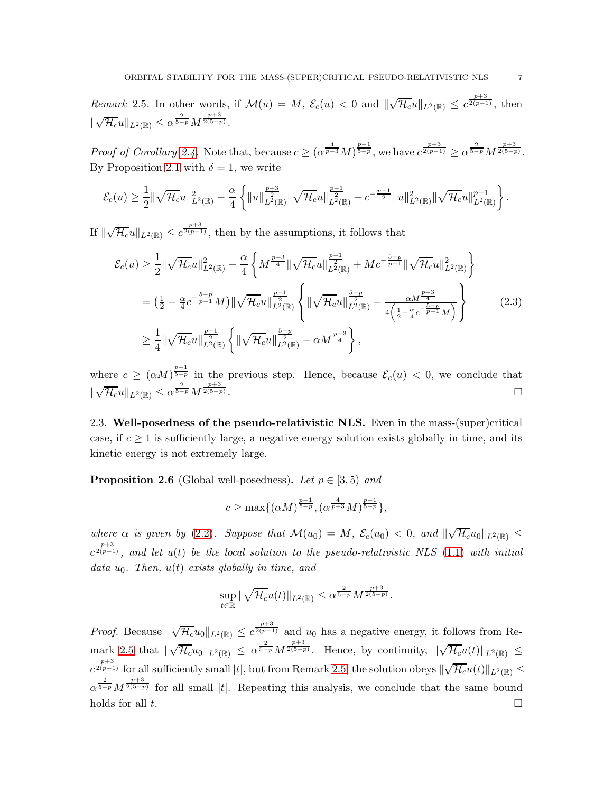<span id="page-6-0"></span>Remark 2.5. In other words, if  $\mathcal{M}(u) = M$ ,  $\mathcal{E}_c(u) < 0$  and  $\|\sqrt{\mathcal{H}_c}u\|_{L^2(\mathbb{R})} \leq c^{\frac{p+3}{2(p-1)}},$  then  $\parallel$  $\sqrt{\mathcal{H}_c}u\|_{L^2(\mathbb{R})}\leq \alpha^{\frac{2}{5-p}}M^{\frac{p+3}{2(5-p)}}.$ 

Proof of Corollary [2.4.](#page-5-2) Note that, because  $c \ge (\alpha^{\frac{4}{p+3}} M)^{\frac{p-1}{5-p}}$ , we have  $c^{\frac{p+3}{2(p-1)}} \ge \alpha^{\frac{2}{5-p}} M^{\frac{p+3}{2(5-p)}}$ . By Proposition [2.1](#page-4-1) with  $\delta = 1$ , we write

$$
\mathcal{E}_c(u) \geq \frac{1}{2} \|\sqrt{\mathcal{H}_c}u\|_{L^2(\mathbb{R})}^2 - \frac{\alpha}{4} \left\{ \|u\|_{L^2(\mathbb{R})}^{\frac{p+3}{2}} \|\sqrt{\mathcal{H}_c}u\|_{L^2(\mathbb{R})}^{\frac{p-1}{2}} + c^{-\frac{p-1}{2}} \|u\|_{L^2(\mathbb{R})}^2 \|\sqrt{\mathcal{H}_c}u\|_{L^2(\mathbb{R})}^{p-1} \right\}.
$$

If  $\|\sqrt{\mathcal{H}_c}u\|_{L^2(\mathbb{R})}\leq c^{\frac{p+3}{2(p-1)}}$ , then by the assumptions, it follows that

$$
\mathcal{E}_{c}(u) \geq \frac{1}{2} \|\sqrt{\mathcal{H}_{c}}u\|_{L^{2}(\mathbb{R})}^{2} - \frac{\alpha}{4} \left\{ M^{\frac{p+3}{4}} \|\sqrt{\mathcal{H}_{c}}u\|_{L^{2}(\mathbb{R})}^{\frac{p-1}{2}} + Mc^{-\frac{5-p}{p-1}} \|\sqrt{\mathcal{H}_{c}}u\|_{L^{2}(\mathbb{R})}^{2} \right\}
$$
\n
$$
= \left(\frac{1}{2} - \frac{\alpha}{4}c^{-\frac{5-p}{p-1}}M\right) \|\sqrt{\mathcal{H}_{c}}u\|_{L^{2}(\mathbb{R})}^{\frac{p-1}{2}} \left\{ \|\sqrt{\mathcal{H}_{c}}u\|_{L^{2}(\mathbb{R})}^{\frac{5-p}{2}} - \frac{\alpha M^{\frac{p+3}{4}}}{4\left(\frac{1}{2} - \frac{\alpha}{4}c^{-\frac{5-p}{p-1}}M\right)} \right\}
$$
\n
$$
\geq \frac{1}{4} \|\sqrt{\mathcal{H}_{c}}u\|_{L^{2}(\mathbb{R})}^{\frac{p-1}{2}} \left\{ \|\sqrt{\mathcal{H}_{c}}u\|_{L^{2}(\mathbb{R})}^{\frac{5-p}{2}} - \alpha M^{\frac{p+3}{4}} \right\},
$$
\n
$$
(2.3)
$$

where  $c \geq (\alpha M)^{\frac{p-1}{5-p}}$  in the previous step. Hence, because  $\mathcal{E}_c(u) < 0$ , we conclude that  $\parallel$  $\sqrt{\mathcal{H}_c}u\|_{L^2(\mathbb{R})}\leq \alpha^{\frac{2}{5-p}}M^{\frac{p+3}{2(5-p)}}$ .

2.3. Well-posedness of the pseudo-relativistic NLS. Even in the mass-(super)critical case, if  $c \geq 1$  is sufficiently large, a negative energy solution exists globally in time, and its kinetic energy is not extremely large.

**Proposition 2.6** (Global well-posedness). Let  $p \in [3, 5)$  and

$$
c \ge \max\{(\alpha M)^{\frac{p-1}{5-p}}, (\alpha^{\frac{4}{p+3}} M)^{\frac{p-1}{5-p}}\},\
$$

where  $\alpha$  is given by [\(2.2\)](#page-5-0). Suppose that  $\mathcal{M}(u_0) = M$ ,  $\mathcal{E}_c(u_0) < 0$ , and  $\|\sqrt{\mathcal{H}_c}u_0\|_{L^2(\mathbb{R})} \leq$  $c^{\frac{p+3}{2(p-1)}},$  and let  $u(t)$  be the local solution to the pseudo-relativistic NLS [\(1.1\)](#page-0-0) with initial data  $u_0$ . Then,  $u(t)$  exists globally in time, and

$$
\sup_{t\in\mathbb{R}}\|\sqrt{\mathcal{H}_c}u(t)\|_{L^2(\mathbb{R})}\leq\alpha^{\frac{2}{5-p}}M^{\frac{p+3}{2(5-p)}}.
$$

*Proof.* Because  $\|\sqrt{\mathcal{H}_c}u_0\|_{L^2(\mathbb{R})} \leq c^{\frac{p+3}{2(p-1)}}$  and  $u_0$  has a negative energy, it follows from Re- $\max_{k} 2.5 \text{ that } \|\sqrt{\mathcal{H}_c}u_0\|_{L^2(\mathbb{R})} \leq \alpha^{\frac{2}{5-p}}M^{\frac{p+3}{2(5-p)}}.$  $\max_{k} 2.5 \text{ that } \|\sqrt{\mathcal{H}_c}u_0\|_{L^2(\mathbb{R})} \leq \alpha^{\frac{2}{5-p}}M^{\frac{p+3}{2(5-p)}}.$  $\max_{k} 2.5 \text{ that } \|\sqrt{\mathcal{H}_c}u_0\|_{L^2(\mathbb{R})} \leq \alpha^{\frac{2}{5-p}}M^{\frac{p+3}{2(5-p)}}.$  Hence, by continuity,  $\|\sqrt{\mathcal{H}_c}u(t)\|_{L^2(\mathbb{R})} \leq$  $c^{\frac{p+3}{2(p-1)}}$  for all sufficiently small  $|t|$ , but from Remark [2.5,](#page-6-0) the solution obeys  $\|\sqrt{\mathcal{H}_c}u(t)\|_{L^2(\mathbb{R})}\leq$  $\alpha^{\frac{2}{5-p}}M^{\frac{p+3}{2(5-p)}}$  for all small |t|. Repeating this analysis, we conclude that the same bound holds for all t.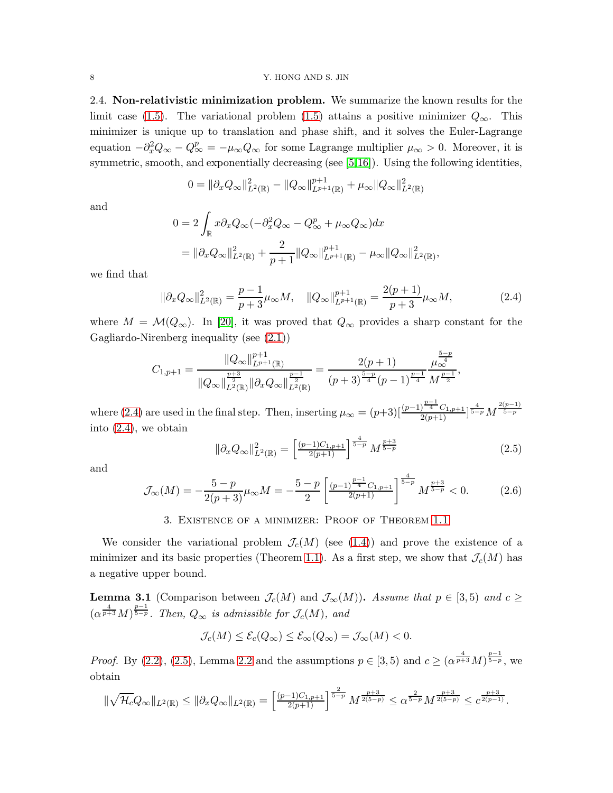2.4. Non-relativistic minimization problem. We summarize the known results for the limit case [\(1.5\)](#page-1-3). The variational problem (1.5) attains a positive minimizer  $Q_{\infty}$ . This minimizer is unique up to translation and phase shift, and it solves the Euler-Lagrange equation  $-\partial_x^2 Q_\infty - Q_\infty^p = -\mu_\infty Q_\infty$  for some Lagrange multiplier  $\mu_\infty > 0$ . Moreover, it is symmetric, smooth, and exponentially decreasing (see [\[5,](#page-15-10)[16\]](#page-16-2)). Using the following identities,

$$
0 = \|\partial_x Q_{\infty}\|_{L^2(\mathbb{R})}^2 - \|Q_{\infty}\|_{L^{p+1}(\mathbb{R})}^{p+1} + \mu_{\infty} \|Q_{\infty}\|_{L^2(\mathbb{R})}^2
$$

and

$$
0 = 2 \int_{\mathbb{R}} x \partial_x Q_{\infty} (-\partial_x^2 Q_{\infty} - Q_{\infty}^p + \mu_{\infty} Q_{\infty}) dx
$$
  
= 
$$
\|\partial_x Q_{\infty}\|_{L^2(\mathbb{R})}^2 + \frac{2}{p+1} \|Q_{\infty}\|_{L^{p+1}(\mathbb{R})}^{p+1} - \mu_{\infty} \|Q_{\infty}\|_{L^2(\mathbb{R})}^2,
$$

we find that

<span id="page-7-1"></span>
$$
\|\partial_x Q_{\infty}\|_{L^2(\mathbb{R})}^2 = \frac{p-1}{p+3} \mu_{\infty} M, \quad \|Q_{\infty}\|_{L^{p+1}(\mathbb{R})}^{p+1} = \frac{2(p+1)}{p+3} \mu_{\infty} M,\tag{2.4}
$$

where  $M = \mathcal{M}(Q_{\infty})$ . In [\[20\]](#page-16-4), it was proved that  $Q_{\infty}$  provides a sharp constant for the Gagliardo-Nirenberg inequality (see [\(2.1\)](#page-4-3))

$$
C_{1,p+1} = \frac{\|Q_{\infty}\|_{L^{p+1}(\mathbb{R})}^{p+1}}{\|Q_{\infty}\|_{L^2(\mathbb{R})}^{\frac{p+3}{2}}\| \partial_x Q_{\infty}\|_{L^2(\mathbb{R})}^{\frac{p-1}{2}}} = \frac{2(p+1)}{(p+3)^{\frac{5-p}{4}}(p-1)^{\frac{p-1}{4}}}\frac{\mu_{\infty}^{\frac{5-p}{4}}}{M^{\frac{p-1}{2}}},
$$

where [\(2.4\)](#page-7-1) are used in the final step. Then, inserting  $\mu_{\infty} = (p+3) \left[ \frac{(p-1)^{\frac{p-1}{4}} C_{1,p+1}}{2(p+1)} \right]^{ \frac{4}{5-p}} M^{ \frac{2(p-1)}{5-p} }$ into [\(2.4\)](#page-7-1), we obtain

<span id="page-7-2"></span>
$$
\|\partial_x Q_{\infty}\|_{L^2(\mathbb{R})}^2 = \left[\frac{(p-1)C_{1,p+1}}{2(p+1)}\right]^{\frac{4}{5-p}} M^{\frac{p+3}{5-p}} \tag{2.5}
$$

and

<span id="page-7-3"></span>
$$
\mathcal{J}_{\infty}(M) = -\frac{5-p}{2(p+3)}\mu_{\infty}M = -\frac{5-p}{2}\left[\frac{(p-1)^{\frac{p-1}{4}}C_{1,p+1}}{2(p+1)}\right]^{\frac{4}{5-p}}M^{\frac{p+3}{5-p}} < 0.
$$
 (2.6)

### 3. Existence of a minimizer: Proof of Theorem [1.1](#page-2-1)

<span id="page-7-0"></span>We consider the variational problem  $\mathcal{J}_c(M)$  (see [\(1.4\)](#page-1-2)) and prove the existence of a minimizer and its basic properties (Theorem [1.1\)](#page-2-1). As a first step, we show that  $\mathcal{J}_c(M)$  has a negative upper bound.

<span id="page-7-4"></span>**Lemma 3.1** (Comparison between  $\mathcal{J}_c(M)$  and  $\mathcal{J}_{\infty}(M)$ ). Assume that  $p \in [3,5)$  and  $c \geq$  $(\alpha^{\frac{4}{p+3}}M)^{\frac{p-1}{5-p}}$ . Then,  $Q_{\infty}$  is admissible for  $\mathcal{J}_{c}(M)$ , and

$$
\mathcal{J}_c(M) \le \mathcal{E}_c(Q_\infty) \le \mathcal{E}_\infty(Q_\infty) = \mathcal{J}_\infty(M) < 0.
$$

*Proof.* By [\(2.2\)](#page-5-0), [\(2.5\)](#page-7-2), Lemma [2.2](#page-5-1) and the assumptions  $p \in [3, 5)$  and  $c \ge (\alpha^{\frac{4}{p+3}} M)^{\frac{p-1}{5-p}}$ , we obtain

$$
\|\sqrt{\mathcal{H}_c}Q_{\infty}\|_{L^2(\mathbb{R})} \le \|\partial_x Q_{\infty}\|_{L^2(\mathbb{R})} = \left[\frac{(p-1)C_{1,p+1}}{2(p+1)}\right]^{\frac{2}{5-p}} M^{\frac{p+3}{2(5-p)}} \le \alpha^{\frac{2}{5-p}} M^{\frac{p+3}{2(5-p)}} \le c^{\frac{p+3}{2(p-1)}}.
$$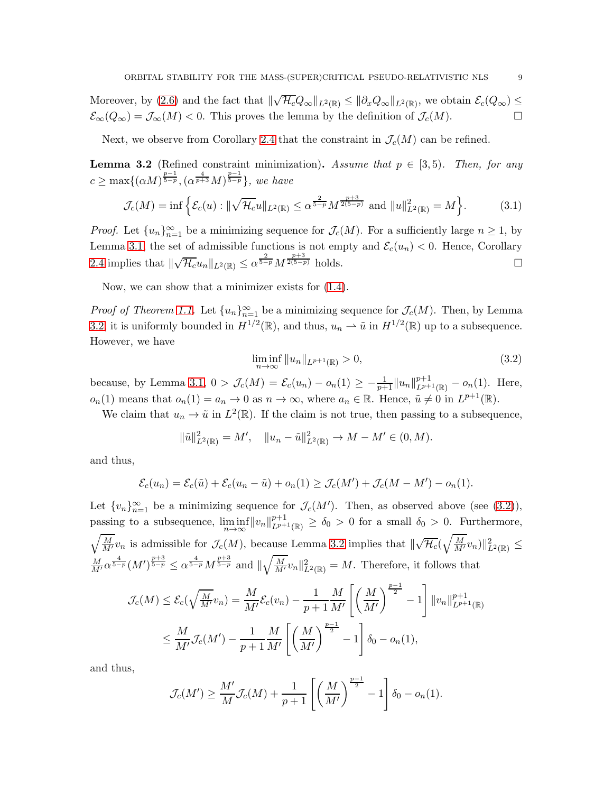Moreover, by [\(2.6\)](#page-7-3) and the fact that  $\|\sqrt{\mathcal{H}_c}Q_\infty\|_{L^2(\mathbb{R})} \le \|\partial_x Q_\infty\|_{L^2(\mathbb{R})}$ , we obtain  $\mathcal{E}_c(Q_\infty) \le$  $\mathcal{E}_{\infty}(Q_{\infty}) = \mathcal{J}_{\infty}(M) < 0$ . This proves the lemma by the definition of  $\mathcal{J}_{c}(M)$ .

Next, we observe from Corollary [2.4](#page-5-2) that the constraint in  $\mathcal{J}_c(M)$  can be refined.

<span id="page-8-0"></span>**Lemma 3.2** (Refined constraint minimization). Assume that  $p \in [3, 5)$ . Then, for any  $c \ge \max\{(\alpha M)^{\frac{p-1}{5-p}}, (\alpha^{\frac{4}{p+3}}M)^{\frac{p-1}{5-p}}\},\$  we have

$$
\mathcal{J}_c(M) = \inf \left\{ \mathcal{E}_c(u) : \|\sqrt{\mathcal{H}_c} u\|_{L^2(\mathbb{R})} \le \alpha^{\frac{2}{5-p}} M^{\frac{p+3}{2(5-p)}} \text{ and } \|u\|_{L^2(\mathbb{R})}^2 = M \right\}.
$$
 (3.1)

*Proof.* Let  $\{u_n\}_{n=1}^{\infty}$  be a minimizing sequence for  $\mathcal{J}_c(M)$ . For a sufficiently large  $n \geq 1$ , by Lemma [3.1,](#page-7-4) the set of admissible functions is not empty and  $\mathcal{E}_c(u_n) < 0$ . Hence, Corollary [2.4](#page-5-2) implies that  $\|\sqrt{\mathcal{H}_c}u_n\|_{L^2(\mathbb{R})} \leq \alpha^{\frac{2}{5-p}}M^{\frac{p+3}{2(5-p)}}$  holds.

Now, we can show that a minimizer exists for [\(1.4\)](#page-1-2).

*Proof of Theorem [1.1.](#page-2-1)* Let  ${u_n}_{n=1}^{\infty}$  be a minimizing sequence for  $\mathcal{J}_c(M)$ . Then, by Lemma [3.2,](#page-8-0) it is uniformly bounded in  $H^{1/2}(\mathbb{R})$ , and thus,  $u_n \rightharpoonup \tilde{u}$  in  $H^{1/2}(\mathbb{R})$  up to a subsequence. However, we have

<span id="page-8-1"></span>
$$
\liminf_{n \to \infty} \|u_n\|_{L^{p+1}(\mathbb{R})} > 0,
$$
\n(3.2)

because, by Lemma [3.1,](#page-7-4)  $0 > \mathcal{J}_c(M) = \mathcal{E}_c(u_n) - o_n(1) \ge -\frac{1}{p+1} ||u_n||_{L^{p+1}(\mathbb{R})}^{p+1} - o_n(1)$ . Here,  $o_n(1)$  means that  $o_n(1) = a_n \to 0$  as  $n \to \infty$ , where  $a_n \in \mathbb{R}$ . Hence,  $\tilde{u} \neq 0$  in  $L^{p+1}(\mathbb{R})$ .

We claim that  $u_n \to \tilde{u}$  in  $L^2(\mathbb{R})$ . If the claim is not true, then passing to a subsequence,

$$
\|\tilde{u}\|_{L^2(\mathbb{R})}^2 = M', \quad \|u_n - \tilde{u}\|_{L^2(\mathbb{R})}^2 \to M - M' \in (0, M).
$$

and thus,

$$
\mathcal{E}_c(u_n) = \mathcal{E}_c(\tilde{u}) + \mathcal{E}_c(u_n - \tilde{u}) + o_n(1) \ge \mathcal{J}_c(M') + \mathcal{J}_c(M - M') - o_n(1).
$$

Let  $\{v_n\}_{n=1}^{\infty}$  be a minimizing sequence for  $\mathcal{J}_c(M')$ . Then, as observed above (see [\(3.2\)](#page-8-1)), passing to a subsequence, lim inf  $\liminf_{n\to\infty} ||v_n||_{L^{p+1}(\mathbb{R})}^{p+1} \ge \delta_0 > 0$  for a small  $\delta_0 > 0$ . Furthermore,  $\sqrt{\frac{M}{M'}}v_n$  is admissible for  $\mathcal{J}_c(M)$ , because Lemma [3.2](#page-8-0) implies that  $\sqrt[n]{\mathcal{H}_c}(\sqrt{\frac{M}{M'}}v_n)\|^2_{L^2(\mathbb{R})} \leq$  $\frac{M}{M'}\alpha^{\frac{4}{5-p}}(M')^{\frac{p+3}{5-p}} \leq \alpha^{\frac{4}{5-p}}M^{\frac{p+3}{5-p}}$  and  $\|\sqrt{\frac{M}{M'}}v_n\|_{L^2(\mathbb{R})}^2 = M$ . Therefore, it follows that

$$
\mathcal{J}_c(M) \le \mathcal{E}_c(\sqrt{\frac{M}{M'}}v_n) = \frac{M}{M'}\mathcal{E}_c(v_n) - \frac{1}{p+1}\frac{M}{M'}\left[\left(\frac{M}{M'}\right)^{\frac{p-1}{2}} - 1\right]||v_n||_{L^{p+1}(\mathbb{R})}^{p+1}
$$
  

$$
\le \frac{M}{M'}\mathcal{J}_c(M') - \frac{1}{p+1}\frac{M}{M'}\left[\left(\frac{M}{M'}\right)^{\frac{p-1}{2}} - 1\right]\delta_0 - o_n(1),
$$

and thus,

$$
\mathcal{J}_c(M') \ge \frac{M'}{M} \mathcal{J}_c(M) + \frac{1}{p+1} \left[ \left( \frac{M}{M'} \right)^{\frac{p-1}{2}} - 1 \right] \delta_0 - o_n(1).
$$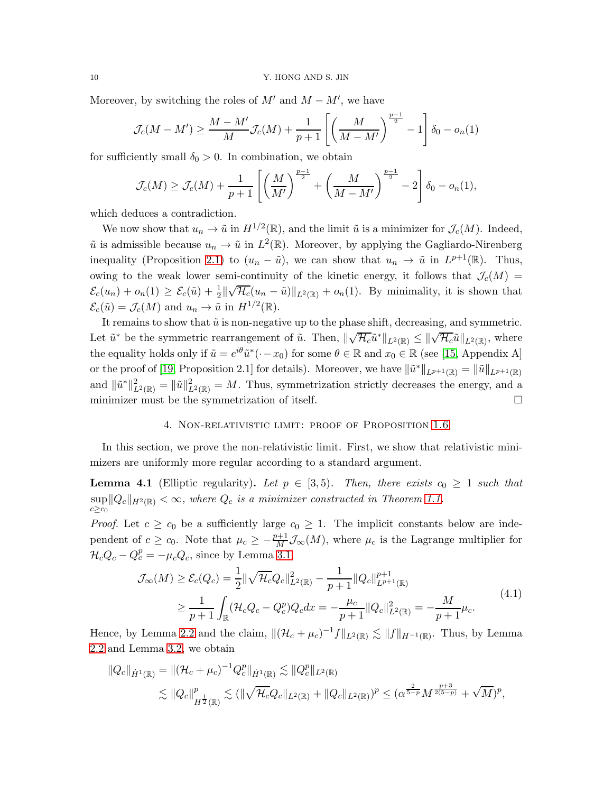Moreover, by switching the roles of  $M'$  and  $M - M'$ , we have

$$
\mathcal{J}_c(M - M') \ge \frac{M - M'}{M} \mathcal{J}_c(M) + \frac{1}{p+1} \left[ \left( \frac{M}{M - M'} \right)^{\frac{p-1}{2}} - 1 \right] \delta_0 - o_n(1)
$$

for sufficiently small  $\delta_0 > 0$ . In combination, we obtain

$$
\mathcal{J}_c(M) \ge \mathcal{J}_c(M) + \frac{1}{p+1} \left[ \left( \frac{M}{M'} \right)^{\frac{p-1}{2}} + \left( \frac{M}{M-M'} \right)^{\frac{p-1}{2}} - 2 \right] \delta_0 - o_n(1),
$$

which deduces a contradiction.

We now show that  $u_n \to \tilde{u}$  in  $H^{1/2}(\mathbb{R})$ , and the limit  $\tilde{u}$  is a minimizer for  $\mathcal{J}_c(M)$ . Indeed,  $\tilde{u}$  is admissible because  $u_n \to \tilde{u}$  in  $L^2(\mathbb{R})$ . Moreover, by applying the Gagliardo-Nirenberg inequality (Proposition [2.1\)](#page-4-1) to  $(u_n - \tilde{u})$ , we can show that  $u_n \to \tilde{u}$  in  $L^{p+1}(\mathbb{R})$ . Thus, owing to the weak lower semi-continuity of the kinetic energy, it follows that  $\mathcal{J}_c(M)$  $\mathcal{E}_c(u_n) + o_n(1) \geq \mathcal{E}_c(\tilde{u}) + \frac{1}{2}$  $\sqrt{\mathcal{H}_c}(u_n - \tilde{u})\|_{L^2(\mathbb{R})} + o_n(1)$ . By minimality, it is shown that  $\mathcal{E}_c(\tilde{u}) = \mathcal{J}_c(M)$  and  $u_n \to \tilde{u}$  in  $H^{1/2}(\mathbb{R})$ .

It remains to show that  $\tilde{u}$  is non-negative up to the phase shift, decreasing, and symmetric. Let  $\tilde{u}^*$  be the symmetric rearrangement of  $\tilde{u}$ . Then,  $\|\sqrt{\mathcal{H}_c}\tilde{u}^*\|_{L^2(\mathbb{R})} \le \|\sqrt{\mathcal{H}_c}\tilde{u}\|_{L^2(\mathbb{R})}$ , where the equality holds only if  $\tilde{u} = e^{i\theta} \tilde{u}^* (-x_0)$  for some  $\theta \in \mathbb{R}$  and  $x_0 \in \mathbb{R}$  (see [\[15,](#page-16-5) Appendix A] or the proof of [\[19,](#page-16-6) Proposition 2.1] for details). Moreover, we have  $\|\tilde{u}^*\|_{L^{p+1}(\mathbb{R})} = \|\tilde{u}\|_{L^{p+1}(\mathbb{R})}$ and  $\|\tilde{u}^*\|_{L^2(\mathbb{R})}^2 = \|\tilde{u}\|_{L^2(\mathbb{R})}^2 = M$ . Thus, symmetrization strictly decreases the energy, and a minimizer must be the symmetrization of itself.  $\Box$ 

#### 4. Non-relativistic limit: proof of Proposition [1.6](#page-3-0)

<span id="page-9-0"></span>In this section, we prove the non-relativistic limit. First, we show that relativistic minimizers are uniformly more regular according to a standard argument.

<span id="page-9-1"></span>**Lemma 4.1** (Elliptic regularity). Let  $p \in [3, 5)$ . Then, there exists  $c_0 \geq 1$  such that  $\sup ||Q_c||_{H^2(\mathbb{R})} < \infty$ , where  $Q_c$  is a minimizer constructed in Theorem [1.1.](#page-2-1)  $c \geq c_0$ 

*Proof.* Let  $c \geq c_0$  be a sufficiently large  $c_0 \geq 1$ . The implicit constants below are independent of  $c \ge c_0$ . Note that  $\mu_c \ge -\frac{p+1}{M} \mathcal{J}_{\infty}(M)$ , where  $\mu_c$  is the Lagrange multiplier for  $\mathcal{H}_c Q_c - Q_c^p = -\mu_c Q_c$ , since by Lemma [3.1,](#page-7-4)

<span id="page-9-2"></span>
$$
\mathcal{J}_{\infty}(M) \ge \mathcal{E}_c(Q_c) = \frac{1}{2} \|\sqrt{\mathcal{H}_c} Q_c\|_{L^2(\mathbb{R})}^2 - \frac{1}{p+1} \|Q_c\|_{L^{p+1}(\mathbb{R})}^{p+1}
$$
\n
$$
\ge \frac{1}{p+1} \int_{\mathbb{R}} (\mathcal{H}_c Q_c - Q_c^p) Q_c dx = -\frac{\mu_c}{p+1} \|Q_c\|_{L^2(\mathbb{R})}^2 = -\frac{M}{p+1} \mu_c. \tag{4.1}
$$

Hence, by Lemma [2.2](#page-5-1) and the claim,  $\|(\mathcal{H}_c + \mu_c)^{-1}f\|_{L^2(\mathbb{R})} \lesssim \|f\|_{H^{-1}(\mathbb{R})}$ . Thus, by Lemma [2.2](#page-5-1) and Lemma [3.2,](#page-8-0) we obtain

$$
||Q_c||_{\dot{H}^1(\mathbb{R})} = ||(\mathcal{H}_c + \mu_c)^{-1} Q_c^p||_{\dot{H}^1(\mathbb{R})} \lesssim ||Q_c^p||_{L^2(\mathbb{R})}
$$
  
\$\lesssim ||Q\_c||\_{H^{\frac{1}{2}}(\mathbb{R})}^p \lesssim (||\sqrt{\mathcal{H}\_c} Q\_c||\_{L^2(\mathbb{R})} + ||Q\_c||\_{L^2(\mathbb{R})})^p \le (\alpha^{\frac{2}{5-p}} M^{\frac{p+3}{2(5-p)}} + \sqrt{M})^p\$,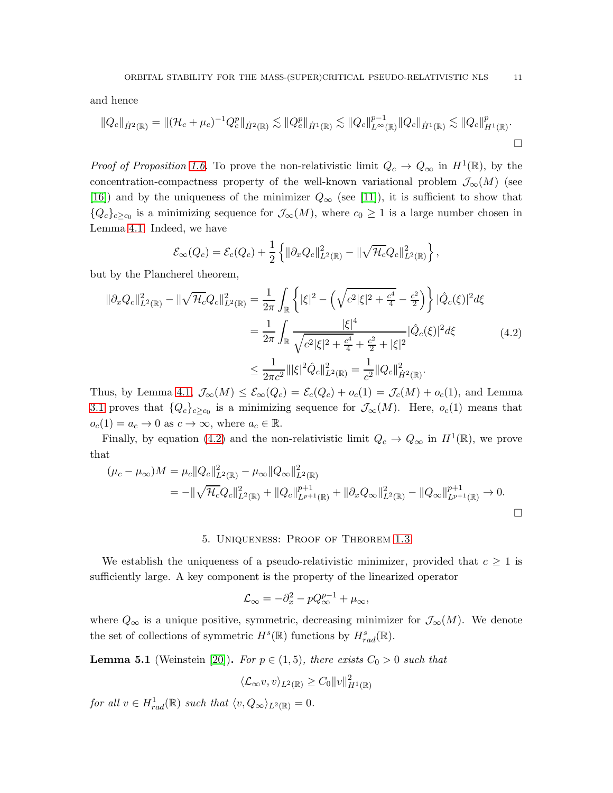and hence

$$
||Q_c||_{\dot{H}^2(\mathbb{R})} = ||(\mathcal{H}_c + \mu_c)^{-1} Q_c^p||_{\dot{H}^2(\mathbb{R})} \lesssim ||Q_c^p||_{\dot{H}^1(\mathbb{R})} \lesssim ||Q_c||_{L^{\infty}(\mathbb{R})}^{p-1} ||Q_c||_{\dot{H}^1(\mathbb{R})} \lesssim ||Q_c||_{H^1(\mathbb{R})}^p.
$$

*Proof of Proposition [1.6.](#page-3-0)* To prove the non-relativistic limit  $Q_c \to Q_\infty$  in  $H^1(\mathbb{R})$ , by the concentration-compactness property of the well-known variational problem  $\mathcal{J}_{\infty}(M)$  (see [\[16\]](#page-16-2)) and by the uniqueness of the minimizer  $Q_{\infty}$  (see [\[11\]](#page-15-11)), it is sufficient to show that  ${Q_c}_{c \geq c_0}$  is a minimizing sequence for  $\mathcal{J}_{\infty}(M)$ , where  $c_0 \geq 1$  is a large number chosen in Lemma [4.1.](#page-9-1) Indeed, we have

$$
\mathcal{E}_{\infty}(Q_c) = \mathcal{E}_c(Q_c) + \frac{1}{2} \left\{ \|\partial_x Q_c\|_{L^2(\mathbb{R})}^2 - \|\sqrt{\mathcal{H}_c} Q_c\|_{L^2(\mathbb{R})}^2 \right\},\
$$

but by the Plancherel theorem,

<span id="page-10-1"></span>
$$
\|\partial_x Q_c\|_{L^2(\mathbb{R})}^2 - \|\sqrt{\mathcal{H}_c} Q_c\|_{L^2(\mathbb{R})}^2 = \frac{1}{2\pi} \int_{\mathbb{R}} \left\{ |\xi|^2 - \left(\sqrt{c^2 |\xi|^2 + \frac{c^4}{4}} - \frac{c^2}{2}\right) \right\} |\hat{Q}_c(\xi)|^2 d\xi
$$
  

$$
= \frac{1}{2\pi} \int_{\mathbb{R}} \frac{|\xi|^4}{\sqrt{c^2 |\xi|^2 + \frac{c^4}{4} + \frac{c^2}{2} + |\xi|^2}} |\hat{Q}_c(\xi)|^2 d\xi
$$
(4.2)  

$$
\leq \frac{1}{2\pi c^2} \|\xi|^2 \hat{Q}_c\|_{L^2(\mathbb{R})}^2 = \frac{1}{c^2} \|Q_c\|_{\dot{H}^2(\mathbb{R})}^2.
$$

Thus, by Lemma [4.1,](#page-9-1)  $\mathcal{J}_{\infty}(M) \leq \mathcal{E}_{\infty}(Q_c) = \mathcal{E}_c(Q_c) + o_c(1) = \mathcal{J}_c(M) + o_c(1)$ , and Lemma [3.1](#page-7-4) proves that  ${Q_c}_{c \geq c_0}$  is a minimizing sequence for  $\mathcal{J}_{\infty}(M)$ . Here,  $o_c(1)$  means that  $o_c(1) = a_c \to 0$  as  $c \to \infty$ , where  $a_c \in \mathbb{R}$ .

Finally, by equation [\(4.2\)](#page-10-1) and the non-relativistic limit  $Q_c \to Q_\infty$  in  $H^1(\mathbb{R})$ , we prove that

$$
(\mu_c - \mu_{\infty})M = \mu_c ||Q_c||_{L^2(\mathbb{R})}^2 - \mu_{\infty} ||Q_{\infty}||_{L^2(\mathbb{R})}^2
$$
  
= 
$$
-||\sqrt{\mathcal{H}_c}Q_c||_{L^2(\mathbb{R})}^2 + ||Q_c||_{L^{p+1}(\mathbb{R})}^{p+1} + ||\partial_x Q_{\infty}||_{L^2(\mathbb{R})}^2 - ||Q_{\infty}||_{L^{p+1}(\mathbb{R})}^{p+1} \to 0.
$$

#### 5. Uniqueness: Proof of Theorem [1.3](#page-2-2)

<span id="page-10-0"></span>We establish the uniqueness of a pseudo-relativistic minimizer, provided that  $c \geq 1$  is sufficiently large. A key component is the property of the linearized operator

$$
\mathcal{L}_{\infty} = -\partial_x^2 - pQ_{\infty}^{p-1} + \mu_{\infty},
$$

where  $Q_{\infty}$  is a unique positive, symmetric, decreasing minimizer for  $\mathcal{J}_{\infty}(M)$ . We denote the set of collections of symmetric  $H^s(\mathbb{R})$  functions by  $H^s_{rad}(\mathbb{R})$ .

<span id="page-10-2"></span>**Lemma 5.1** (Weinstein [\[20\]](#page-16-4)). For  $p \in (1,5)$ , there exists  $C_0 > 0$  such that

$$
\langle \mathcal{L}_{\infty} v, v \rangle_{L^2(\mathbb{R})} \ge C_0 \|v\|_{H^1(\mathbb{R})}^2
$$

for all  $v \in H_{rad}^1(\mathbb{R})$  such that  $\langle v, Q_\infty \rangle_{L^2(\mathbb{R})} = 0$ .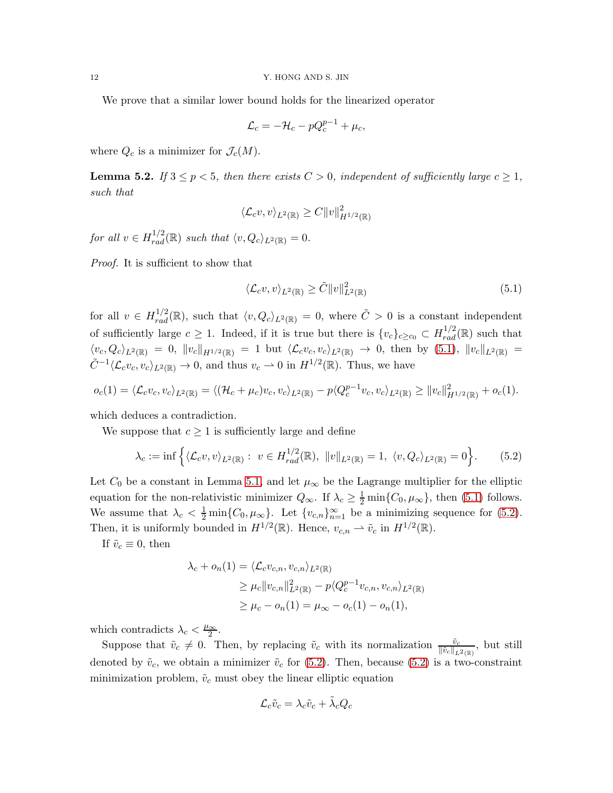We prove that a similar lower bound holds for the linearized operator

$$
\mathcal{L}_c = -\mathcal{H}_c - pQ_c^{p-1} + \mu_c,
$$

where  $Q_c$  is a minimizer for  $\mathcal{J}_c(M)$ .

<span id="page-11-0"></span>**Lemma 5.2.** If  $3 \leq p < 5$ , then there exists  $C > 0$ , independent of sufficiently large  $c \geq 1$ , such that

$$
\langle \mathcal{L}_c v, v \rangle_{L^2(\mathbb{R})} \ge C \|v\|_{H^{1/2}(\mathbb{R})}^2
$$

for all  $v \in H_{rad}^{1/2}(\mathbb{R})$  such that  $\langle v, Q_c \rangle_{L^2(\mathbb{R})} = 0$ .

Proof. It is sufficient to show that

<span id="page-11-1"></span>
$$
\langle \mathcal{L}_c v, v \rangle_{L^2(\mathbb{R})} \ge \tilde{C} \|v\|_{L^2(\mathbb{R})}^2 \tag{5.1}
$$

for all  $v \in H_{rad}^{1/2}(\mathbb{R})$ , such that  $\langle v, Q_c \rangle_{L^2(\mathbb{R})} = 0$ , where  $\tilde{C} > 0$  is a constant independent of sufficiently large  $c \geq 1$ . Indeed, if it is true but there is  $\{v_c\}_{c \geq c_0} \subset H_{rad}^{1/2}(\mathbb{R})$  such that  $\langle v_c, Q_c \rangle_{L^2(\mathbb{R})} = 0$ ,  $||v_c||_{H^{1/2}(\mathbb{R})} = 1$  but  $\langle \mathcal{L}_c v_c, v_c \rangle_{L^2(\mathbb{R})} \to 0$ , then by [\(5.1\)](#page-11-1),  $||v_c||_{L^2(\mathbb{R})} =$  $\tilde{C}^{-1}\langle \mathcal{L}_c v_c, v_c \rangle_{L^2(\mathbb{R})} \to 0$ , and thus  $v_c \to 0$  in  $H^{1/2}(\mathbb{R})$ . Thus, we have

$$
o_c(1) = \langle \mathcal{L}_c v_c, v_c \rangle_{L^2(\mathbb{R})} = \langle (\mathcal{H}_c + \mu_c) v_c, v_c \rangle_{L^2(\mathbb{R})} - p \langle Q_c^{p-1} v_c, v_c \rangle_{L^2(\mathbb{R})} \ge ||v_c||_{H^{1/2}(\mathbb{R})}^2 + o_c(1).
$$

which deduces a contradiction.

We suppose that  $c \geq 1$  is sufficiently large and define

<span id="page-11-2"></span>
$$
\lambda_c := \inf \left\{ \langle \mathcal{L}_c v, v \rangle_{L^2(\mathbb{R})} : v \in H_{rad}^{1/2}(\mathbb{R}), \ \|v\|_{L^2(\mathbb{R})} = 1, \ \langle v, Q_c \rangle_{L^2(\mathbb{R})} = 0 \right\}.
$$
 (5.2)

Let  $C_0$  be a constant in Lemma [5.1,](#page-10-2) and let  $\mu_{\infty}$  be the Lagrange multiplier for the elliptic equation for the non-relativistic minimizer  $Q_{\infty}$ . If  $\lambda_c \geq \frac{1}{2} \min\{C_0, \mu_{\infty}\}\)$ , then [\(5.1\)](#page-11-1) follows. We assume that  $\lambda_c < \frac{1}{2} \min\{C_0, \mu_\infty\}$ . Let  $\{v_{c,n}\}_{n=1}^\infty$  be a minimizing sequence for [\(5.2\)](#page-11-2). Then, it is uniformly bounded in  $H^{1/2}(\mathbb{R})$ . Hence,  $v_{c,n} \rightharpoonup \tilde{v}_c$  in  $H^{1/2}(\mathbb{R})$ .

If  $\tilde{v}_c \equiv 0$ , then

$$
\lambda_c + o_n(1) = \langle \mathcal{L}_c v_{c,n}, v_{c,n} \rangle_{L^2(\mathbb{R})}
$$
  
\n
$$
\geq \mu_c \|v_{c,n}\|_{L^2(\mathbb{R})}^2 - p \langle Q_c^{p-1} v_{c,n}, v_{c,n} \rangle_{L^2(\mathbb{R})}
$$
  
\n
$$
\geq \mu_c - o_n(1) = \mu_\infty - o_c(1) - o_n(1),
$$

which contradicts  $\lambda_c < \frac{\mu_{\infty}}{2}$  $\frac{\infty}{2}$ .

Suppose that  $\tilde{v}_c \neq 0$ . Then, by replacing  $\tilde{v}_c$  with its normalization  $\frac{\tilde{v}_c}{\|\tilde{v}_c\|_{L^2(\mathbb{R})}},$  but still denoted by  $\tilde{v}_c$ , we obtain a minimizer  $\tilde{v}_c$  for [\(5.2\)](#page-11-2). Then, because (5.2) is a two-constraint minimization problem,  $\tilde{v}_c$  must obey the linear elliptic equation

$$
\mathcal{L}_c \tilde{v}_c = \lambda_c \tilde{v}_c + \tilde{\lambda}_c Q_c
$$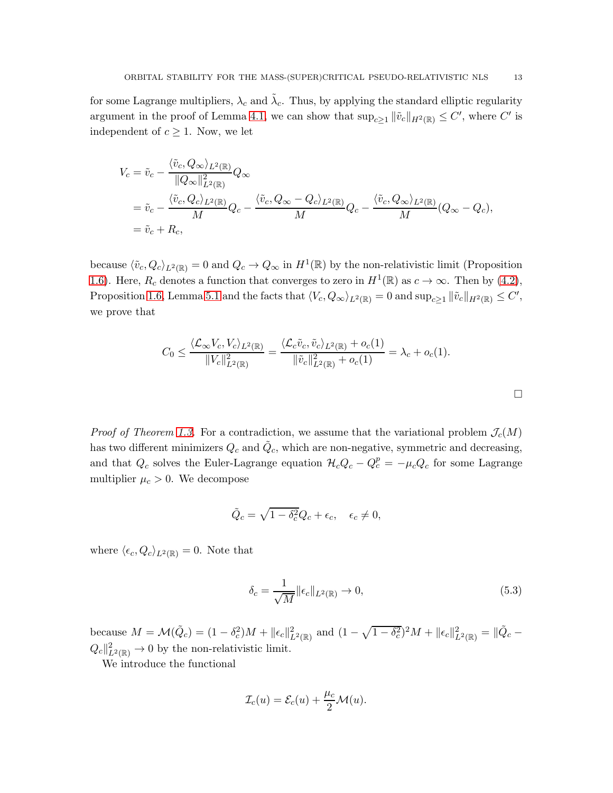for some Lagrange multipliers,  $\lambda_c$  and  $\tilde{\lambda}_c$ . Thus, by applying the standard elliptic regularity argument in the proof of Lemma [4.1,](#page-9-1) we can show that  $\sup_{c\geq 1} ||\tilde{v}_c||_{H^2(\mathbb{R})} \leq C'$ , where  $C'$  is independent of  $c \geq 1$ . Now, we let

$$
V_c = \tilde{v}_c - \frac{\langle \tilde{v}_c, Q_\infty \rangle_{L^2(\mathbb{R})}}{\|Q_\infty\|_{L^2(\mathbb{R})}^2} Q_\infty
$$
  
=  $\tilde{v}_c - \frac{\langle \tilde{v}_c, Q_c \rangle_{L^2(\mathbb{R})}}{M} Q_c - \frac{\langle \tilde{v}_c, Q_\infty - Q_c \rangle_{L^2(\mathbb{R})}}{M} Q_c - \frac{\langle \tilde{v}_c, Q_\infty \rangle_{L^2(\mathbb{R})}}{M} (Q_\infty - Q_c),$   
=  $\tilde{v}_c + R_c$ ,

because  $\langle \tilde{v}_c, Q_c \rangle_{L^2(\mathbb{R})} = 0$  and  $Q_c \to Q_\infty$  in  $H^1(\mathbb{R})$  by the non-relativistic limit (Proposition [1.6\)](#page-3-0). Here,  $R_c$  denotes a function that converges to zero in  $H^1(\mathbb{R})$  as  $c \to \infty$ . Then by [\(4.2\)](#page-10-1), Proposition [1.6,](#page-3-0) Lemma [5.1](#page-10-2) and the facts that  $\langle V_c, Q_\infty \rangle_{L^2(\mathbb{R})} = 0$  and  $\sup_{c \geq 1} ||\tilde{v}_c||_{H^2(\mathbb{R})} \leq C',$ we prove that

$$
C_0 \leq \frac{\langle \mathcal{L}_{\infty} V_c, V_c \rangle_{L^2(\mathbb{R})}}{\|V_c\|_{L^2(\mathbb{R})}^2} = \frac{\langle \mathcal{L}_c \tilde{v}_c, \tilde{v}_c \rangle_{L^2(\mathbb{R})} + o_c(1)}{\|\tilde{v}_c\|_{L^2(\mathbb{R})}^2 + o_c(1)} = \lambda_c + o_c(1).
$$

*Proof of Theorem [1.3.](#page-2-2)* For a contradiction, we assume that the variational problem  $\mathcal{J}_c(M)$ has two different minimizers  $Q_c$  and  $\tilde{Q}_c$ , which are non-negative, symmetric and decreasing, and that  $Q_c$  solves the Euler-Lagrange equation  $\mathcal{H}_cQ_c - Q_c^p = -\mu_cQ_c$  for some Lagrange multiplier  $\mu_c > 0$ . We decompose

$$
\tilde{Q}_c = \sqrt{1 - \delta_c^2} Q_c + \epsilon_c, \quad \epsilon_c \neq 0,
$$

where  $\langle \epsilon_c, Q_c \rangle_{L^2(\mathbb{R})} = 0$ . Note that

<span id="page-12-0"></span>
$$
\delta_c = \frac{1}{\sqrt{M}} \|\epsilon_c\|_{L^2(\mathbb{R})} \to 0,\tag{5.3}
$$

because  $M = \mathcal{M}(\tilde{Q}_c) = (1 - \delta_c^2)M + ||\epsilon_c||^2_{L^2(\mathbb{R})}$  and  $(1 - \sqrt{1 - \delta_c^2})^2M + ||\epsilon_c||^2_{L^2(\mathbb{R})} = ||\tilde{Q}_c - \tilde{Q}_c||^2$  $Q_c\Vert_{L^2(\mathbb{R})}^2 \to 0$  by the non-relativistic limit.

We introduce the functional

$$
\mathcal{I}_c(u) = \mathcal{E}_c(u) + \frac{\mu_c}{2}\mathcal{M}(u).
$$

 $\Box$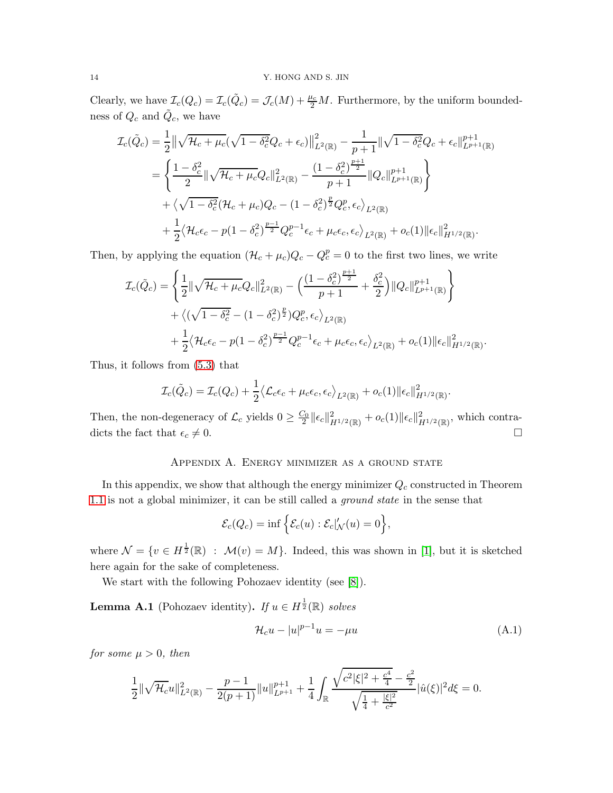Clearly, we have  $\mathcal{I}_c(Q_c) = \mathcal{I}_c(\tilde{Q}_c) = \mathcal{J}_c(M) + \frac{\mu_c}{2}M$ . Furthermore, by the uniform boundedness of  $Q_c$  and  $\tilde{Q}_c$ , we have

$$
\mathcal{I}_{c}(\tilde{Q}_{c}) = \frac{1}{2} || \sqrt{\mathcal{H}_{c} + \mu_{c}} (\sqrt{1 - \delta_{c}^{2}} Q_{c} + \epsilon_{c}) ||_{L^{2}(\mathbb{R})}^{2} - \frac{1}{p+1} || \sqrt{1 - \delta_{c}^{2}} Q_{c} + \epsilon_{c} ||_{L^{p+1}(\mathbb{R})}^{p+1}
$$
\n
$$
= \left\{ \frac{1 - \delta_{c}^{2}}{2} || \sqrt{\mathcal{H}_{c} + \mu_{c}} Q_{c} ||_{L^{2}(\mathbb{R})}^{2} - \frac{(1 - \delta_{c}^{2})^{\frac{p+1}{2}}}{p+1} || Q_{c} ||_{L^{p+1}(\mathbb{R})}^{p+1} \right\}
$$
\n
$$
+ \left\langle \sqrt{1 - \delta_{c}^{2}} (\mathcal{H}_{c} + \mu_{c}) Q_{c} - (1 - \delta_{c}^{2})^{\frac{p}{2}} Q_{c}^{p}, \epsilon_{c} \right\rangle_{L^{2}(\mathbb{R})}
$$
\n
$$
+ \frac{1}{2} \left\langle \mathcal{H}_{c} \epsilon_{c} - p (1 - \delta_{c}^{2})^{\frac{p-1}{2}} Q_{c}^{p-1} \epsilon_{c} + \mu_{c} \epsilon_{c}, \epsilon_{c} \right\rangle_{L^{2}(\mathbb{R})} + o_{c}(1) || \epsilon_{c} ||_{H^{1/2}(\mathbb{R})}^{2}.
$$

Then, by applying the equation  $(\mathcal{H}_c + \mu_c)Q_c - Q_c^p = 0$  to the first two lines, we write

$$
\mathcal{I}_{c}(\tilde{Q}_{c}) = \left\{ \frac{1}{2} \|\sqrt{\mathcal{H}_{c} + \mu_{c}} Q_{c}\|_{L^{2}(\mathbb{R})}^{2} - \left(\frac{(1 - \delta_{c}^{2})^{\frac{p+1}{2}}}{p+1} + \frac{\delta_{c}^{2}}{2}\right) \|Q_{c}\|_{L^{p+1}(\mathbb{R})}^{p+1} \right\} \n+ \left\langle (\sqrt{1 - \delta_{c}^{2}} - (1 - \delta_{c}^{2})^{\frac{p}{2}}) Q_{c}^{p}, \epsilon_{c} \right\rangle_{L^{2}(\mathbb{R})} \n+ \frac{1}{2} \left\langle \mathcal{H}_{c} \epsilon_{c} - p(1 - \delta_{c}^{2})^{\frac{p-1}{2}} Q_{c}^{p-1} \epsilon_{c} + \mu_{c} \epsilon_{c}, \epsilon_{c} \right\rangle_{L^{2}(\mathbb{R})} + o_{c}(1) \| \epsilon_{c} \|_{H^{1/2}(\mathbb{R})}^{2}
$$

Thus, it follows from [\(5.3\)](#page-12-0) that

$$
\mathcal{I}_c(\tilde{Q}_c) = \mathcal{I}_c(Q_c) + \frac{1}{2} \langle \mathcal{L}_c \epsilon_c + \mu_c \epsilon_c, \epsilon_c \rangle_{L^2(\mathbb{R})} + o_c(1) \|\epsilon_c\|_{H^{1/2}(\mathbb{R})}^2.
$$

<span id="page-13-0"></span>Then, the non-degeneracy of  $\mathcal{L}_c$  yields  $0 \geq \frac{C_0}{2} \|\epsilon_c\|_{H^{1/2}(\mathbb{R})}^2 + o_c(1) \|\epsilon_c\|_{H^{1/2}(\mathbb{R})}^2$ , which contradicts the fact that  $\epsilon_c \neq 0$ .

## Appendix A. Energy minimizer as a ground state

In this appendix, we show that although the energy minimizer  $Q_c$  constructed in Theorem [1.1](#page-2-1) is not a global minimizer, it can be still called a ground state in the sense that

$$
\mathcal{E}_c(Q_c) = \inf \left\{ \mathcal{E}_c(u) : \mathcal{E}_c|_{\mathcal{N}}'(u) = 0 \right\},\
$$

where  $\mathcal{N} = \{v \in H^{\frac{1}{2}}(\mathbb{R}) : \mathcal{M}(v) = M\}$ . Indeed, this was shown in [\[1\]](#page-15-0), but it is sketched here again for the sake of completeness.

We start with the following Pohozaev identity (see [\[8\]](#page-15-12)).

<span id="page-13-2"></span>**Lemma A.1** (Pohozaev identity). If  $u \in H^{\frac{1}{2}}(\mathbb{R})$  solves

<span id="page-13-1"></span>
$$
\mathcal{H}_c u - |u|^{p-1} u = -\mu u \tag{A.1}
$$

.

for some  $\mu > 0$ , then

$$
\frac{1}{2} \|\sqrt{\mathcal{H}_c}u\|_{L^2(\mathbb{R})}^2 - \frac{p-1}{2(p+1)} \|u\|_{L^{p+1}}^{p+1} + \frac{1}{4} \int_{\mathbb{R}} \frac{\sqrt{c^2 |\xi|^2 + \frac{c^4}{4} - \frac{c^2}{2}}}{\sqrt{\frac{1}{4} + \frac{|\xi|^2}{c^2}}} |\hat{u}(\xi)|^2 d\xi = 0.
$$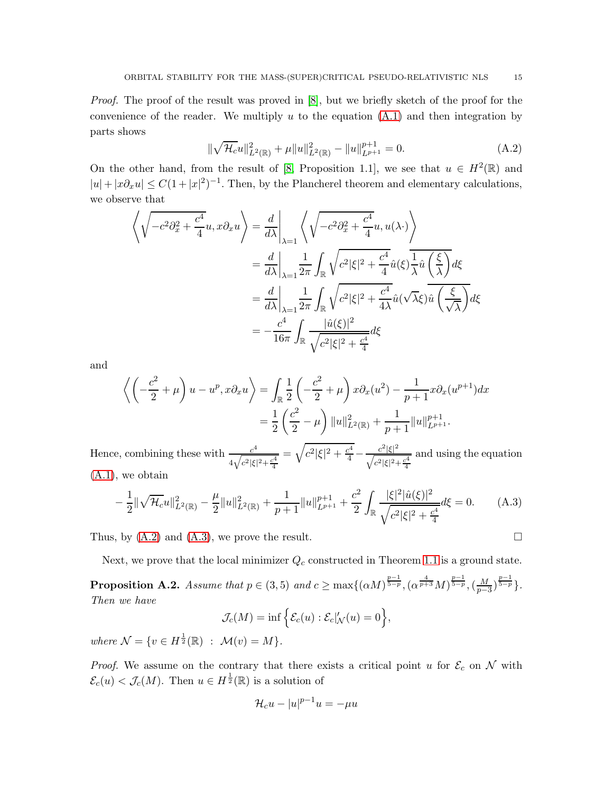Proof. The proof of the result was proved in [\[8\]](#page-15-12), but we briefly sketch of the proof for the convenience of the reader. We multiply  $u$  to the equation  $(A.1)$  and then integration by parts shows

<span id="page-14-0"></span>
$$
\|\sqrt{\mathcal{H}_c}u\|_{L^2(\mathbb{R})}^2 + \mu\|u\|_{L^2(\mathbb{R})}^2 - \|u\|_{L^{p+1}}^{p+1} = 0.
$$
 (A.2)

On the other hand, from the result of [\[8,](#page-15-12) Proposition 1.1], we see that  $u \in H^2(\mathbb{R})$  and  $|u| + |x\partial_x u| \leq C(1+|x|^2)^{-1}$ . Then, by the Plancherel theorem and elementary calculations, we observe that

$$
\left\langle \sqrt{-c^2 \partial_x^2 + \frac{c^4}{4}} u, x \partial_x u \right\rangle = \frac{d}{d\lambda} \Big|_{\lambda=1} \left\langle \sqrt{-c^2 \partial_x^2 + \frac{c^4}{4}} u, u(\lambda \cdot) \right\rangle
$$
  
\n
$$
= \frac{d}{d\lambda} \Big|_{\lambda=1} \frac{1}{2\pi} \int_{\mathbb{R}} \sqrt{c^2 |\xi|^2 + \frac{c^4}{4}} \hat{u}(\xi) \frac{1}{\lambda} \hat{u} \left(\frac{\xi}{\lambda}\right) d\xi
$$
  
\n
$$
= \frac{d}{d\lambda} \Big|_{\lambda=1} \frac{1}{2\pi} \int_{\mathbb{R}} \sqrt{c^2 |\xi|^2 + \frac{c^4}{4\lambda} \hat{u}(\sqrt{\lambda}\xi)} \hat{u} \left(\frac{\xi}{\sqrt{\lambda}}\right) d\xi
$$
  
\n
$$
= -\frac{c^4}{16\pi} \int_{\mathbb{R}} \frac{|\hat{u}(\xi)|^2}{\sqrt{c^2 |\xi|^2 + \frac{c^4}{4}}} d\xi
$$

and

$$
\left\langle \left( -\frac{c^2}{2} + \mu \right) u - u^p, x \partial_x u \right\rangle = \int_{\mathbb{R}} \frac{1}{2} \left( -\frac{c^2}{2} + \mu \right) x \partial_x (u^2) - \frac{1}{p+1} x \partial_x (u^{p+1}) dx
$$
  
= 
$$
\frac{1}{2} \left( \frac{c^2}{2} - \mu \right) ||u||_{L^2(\mathbb{R})}^2 + \frac{1}{p+1} ||u||_{L^{p+1}}^{p+1}.
$$

Hence, combining these with  $-\frac{c^4}{\sqrt{a^4}}$  $4\sqrt{c^2|\xi|^2 + \frac{c^4}{4}}$  $=\sqrt{c^2|\xi|^2+\frac{c^4}{4}}-\frac{c^2|\xi|^2}{\sqrt{c^2|\xi|^2}}$  $\sqrt{c^2|\xi|^2 + \frac{c^4}{4}}$ and using the equation [\(A.1\)](#page-13-1), we obtain

<span id="page-14-1"></span>
$$
-\frac{1}{2} \|\sqrt{\mathcal{H}_c}u\|_{L^2(\mathbb{R})}^2 - \frac{\mu}{2} \|u\|_{L^2(\mathbb{R})}^2 + \frac{1}{p+1} \|u\|_{L^{p+1}}^{p+1} + \frac{c^2}{2} \int_{\mathbb{R}} \frac{|\xi|^2 |\hat{u}(\xi)|^2}{\sqrt{c^2 |\xi|^2 + \frac{c^4}{4}}} d\xi = 0. \tag{A.3}
$$

Thus, by  $(A.2)$  and  $(A.3)$ , we prove the result.

Next, we prove that the local minimizer  $Q_c$  constructed in Theorem [1.1](#page-2-1) is a ground state.

Proposition A.2. Assume that  $p \in (3,5)$  and  $c \ge \max\{(\alpha M)^{\frac{p-1}{5-p}}, (\alpha^{\frac{4}{p+3}}M)^{\frac{p-1}{5-p}}, (\frac{M}{p-1})\}$  $\frac{M}{p-3}\big)^{\frac{p-1}{5-p}}\big\}.$ Then we have

$$
\mathcal{J}_c(M) = \inf \Big\{ \mathcal{E}_c(u) : \mathcal{E}_c |_{\mathcal{N}}'(u) = 0 \Big\},\
$$

where  $\mathcal{N} = \{v \in H^{\frac{1}{2}}(\mathbb{R}) : \mathcal{M}(v) = M\}.$ 

*Proof.* We assume on the contrary that there exists a critical point u for  $\mathcal{E}_c$  on N with  $\mathcal{E}_c(u) < \mathcal{J}_c(M)$ . Then  $u \in H^{\frac{1}{2}}(\mathbb{R})$  is a solution of

$$
\mathcal{H}_c u - |u|^{p-1} u = -\mu u
$$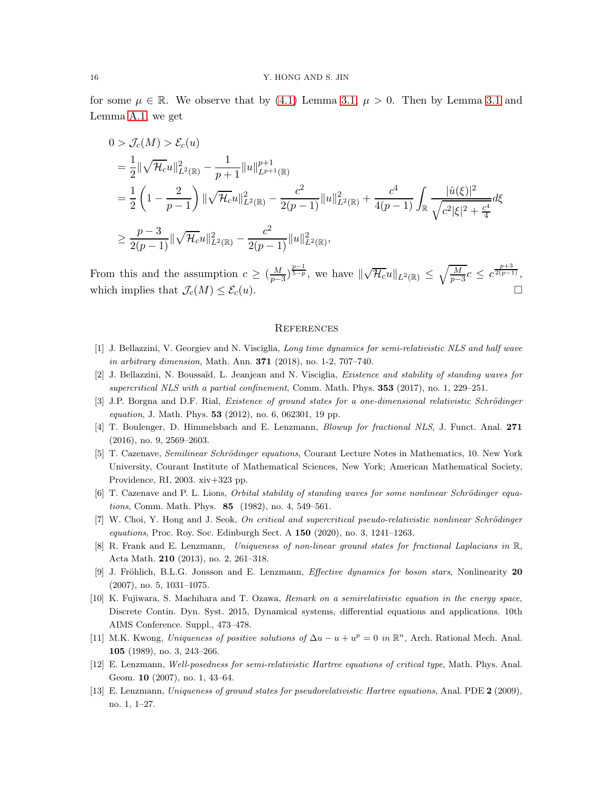for some  $\mu \in \mathbb{R}$ . We observe that by [\(4.1\)](#page-9-2) Lemma [3.1,](#page-7-4)  $\mu > 0$ . Then by Lemma [3.1](#page-7-4) and Lemma [A.1,](#page-13-2) we get

$$
0 > \mathcal{J}_c(M) > \mathcal{E}_c(u)
$$
  
\n
$$
= \frac{1}{2} ||\sqrt{\mathcal{H}_c}u||_{L^2(\mathbb{R})}^2 - \frac{1}{p+1} ||u||_{L^{p+1}(\mathbb{R})}^{p+1}
$$
  
\n
$$
= \frac{1}{2} \left(1 - \frac{2}{p-1}\right) ||\sqrt{\mathcal{H}_c}u||_{L^2(\mathbb{R})}^2 - \frac{c^2}{2(p-1)} ||u||_{L^2(\mathbb{R})}^2 + \frac{c^4}{4(p-1)} \int_{\mathbb{R}} \frac{|\hat{u}(\xi)|^2}{\sqrt{c^2 |\xi|^2 + \frac{c^4}{4}}} d\xi
$$
  
\n
$$
\geq \frac{p-3}{2(p-1)} ||\sqrt{\mathcal{H}_c}u||_{L^2(\mathbb{R})}^2 - \frac{c^2}{2(p-1)} ||u||_{L^2(\mathbb{R})}^2,
$$

From this and the assumption  $c \geq \left(\frac{M}{p-1}\right)$  $\frac{M}{(p-3)^{\frac{p-1}{5-p}}}$ , we have  $\|\sqrt{\mathcal{H}_c}u\|_{L^2(\mathbb{R})} \leq \sqrt{\frac{M}{p-1}}$  $\frac{M}{p-3}c \leq c^{\frac{p+3}{2(p-1)}},$ which implies that  $\mathcal{J}_c(M) \leq \mathcal{E}_c(u)$ .

#### **REFERENCES**

- <span id="page-15-7"></span><span id="page-15-0"></span>[1] J. Bellazzini, V. Georgiev and N. Visciglia, Long time dynamics for semi-relativistic NLS and half wave in arbitrary dimension, Math. Ann. 371 (2018), no. 1-2, 707–740.
- <span id="page-15-3"></span>[2] J. Bellazzini, N. Boussaïd, L. Jeanjean and N. Visciglia, Existence and stability of standing waves for supercritical NLS with a partial confinement, Comm. Math. Phys. 353 (2017), no. 1, 229–251.
- <span id="page-15-6"></span>[3] J.P. Borgna and D.F. Rial, Existence of ground states for a one-dimensional relativistic Schrödinger equation, J. Math. Phys. 53 (2012), no. 6, 062301, 19 pp.
- <span id="page-15-10"></span>[4] T. Boulenger, D. Himmelsbach and E. Lenzmann, Blowup for fractional NLS, J. Funct. Anal. 271 (2016), no. 9, 2569–2603.
- [5] T. Cazenave, *Semilinear Schrödinger equations*, Courant Lecture Notes in Mathematics, 10. New York University, Courant Institute of Mathematical Sciences, New York; American Mathematical Society, Providence, RI, 2003. xiv+323 pp.
- <span id="page-15-9"></span><span id="page-15-5"></span>[6] T. Cazenave and P. L. Lions, Orbital stability of standing waves for some nonlinear Schrödinger equations, Comm. Math. Phys. 85 (1982), no. 4, 549–561.
- <span id="page-15-12"></span>[7] W. Choi, Y. Hong and J. Seok, On critical and supercritical pseudo-relativistic nonlinear Schrödinger equations, Proc. Roy. Soc. Edinburgh Sect. A 150 (2020), no. 3, 1241–1263.
- <span id="page-15-1"></span>[8] R. Frank and E. Lenzmann, Uniqueness of non-linear ground states for fractional Laplacians in R, Acta Math. 210 (2013), no. 2, 261–318.
- [9] J. Fröhlich, B.L.G. Jonsson and E. Lenzmann, *Effective dynamics for boson stars*, Nonlinearity 20 (2007), no. 5, 1031–1075.
- <span id="page-15-4"></span>[10] K. Fujiwara, S. Machihara and T. Ozawa, Remark on a semirelativistic equation in the energy space, Discrete Contin. Dyn. Syst. 2015, Dynamical systems, differential equations and applications. 10th AIMS Conference. Suppl., 473–478.
- <span id="page-15-11"></span>[11] M.K. Kwong, Uniqueness of positive solutions of  $\Delta u - u + u^p = 0$  in  $\mathbb{R}^n$ , Arch. Rational Mech. Anal. 105 (1989), no. 3, 243–266.
- <span id="page-15-8"></span><span id="page-15-2"></span>[12] E. Lenzmann, Well-posedness for semi-relativistic Hartree equations of critical type, Math. Phys. Anal. Geom. 10 (2007), no. 1, 43–64.
- [13] E. Lenzmann, Uniqueness of ground states for pseudorelativistic Hartree equations, Anal. PDE 2 (2009), no. 1, 1–27.